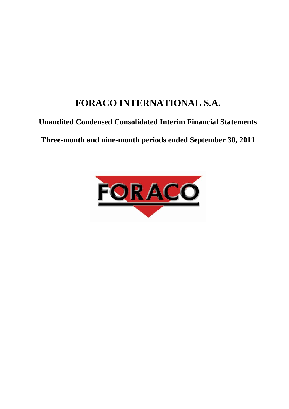# <span id="page-0-0"></span>**FORACO INTERNATIONAL S.A.**

# **Unaudited Condensed Consolidated Interim Financial Statements**

**Three-month and nine-month periods ended September 30, 2011**

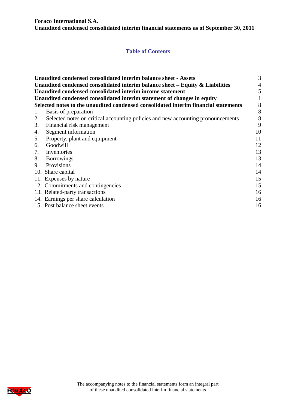**Foraco International S.A.**

**Unaudited condensed consolidated interim financial statements as of September 30, 2011**

# **Table of Contents**

|    | <b>Unaudited condensed consolidated interim balance sheet - Assets</b>              | 3  |
|----|-------------------------------------------------------------------------------------|----|
|    | Unaudited condensed consolidated interim balance sheet $-$ Equity $\&$ Liabilities  | 4  |
|    | Unaudited condensed consolidated interim income statement                           | 5  |
|    | Unaudited condensed consolidated interim statement of changes in equity             |    |
|    | Selected notes to the unaudited condensed consolidated interim financial statements | 8  |
| 1. | Basis of preparation                                                                | 8  |
| 2. | Selected notes on critical accounting policies and new accounting pronouncements    | 8  |
| 3. | Financial risk management                                                           | 9  |
| 4. | Segment information                                                                 | 10 |
| 5. | Property, plant and equipment                                                       | 11 |
| 6. | Goodwill                                                                            | 12 |
| 7. | Inventories                                                                         | 13 |
| 8. | <b>Borrowings</b>                                                                   | 13 |
| 9. | Provisions                                                                          | 14 |
|    | 10. Share capital                                                                   | 14 |
|    | 11. Expenses by nature                                                              | 15 |
|    | 12. Commitments and contingencies                                                   | 15 |
|    | 13. Related-party transactions                                                      | 16 |
|    | 14. Earnings per share calculation                                                  | 16 |
|    | 15. Post balance sheet events                                                       | 16 |

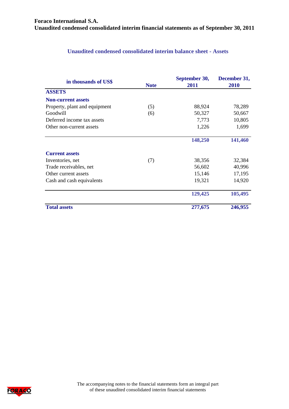# **Unaudited condensed consolidated interim balance sheet - Assets**

<span id="page-2-0"></span>

| in thousands of US\$          | <b>Note</b> | September 30,<br>2011 | December 31,<br>2010 |
|-------------------------------|-------------|-----------------------|----------------------|
| <b>ASSETS</b>                 |             |                       |                      |
| <b>Non-current assets</b>     |             |                       |                      |
| Property, plant and equipment | (5)         | 88,924                | 78,289               |
| Goodwill                      | (6)         | 50,327                | 50,667               |
| Deferred income tax assets    |             | 7,773                 | 10,805               |
| Other non-current assets      |             | 1,226                 | 1,699                |
|                               |             | 148,250               | 141,460              |
| <b>Current assets</b>         |             |                       |                      |
| Inventories, net              | (7)         | 38,356                | 32,384               |
| Trade receivables, net        |             | 56,602                | 40,996               |
| Other current assets          |             | 15,146                | 17,195               |
| Cash and cash equivalents     |             | 19,321                | 14,920               |
|                               |             | 129,425               | 105,495              |
| <b>Total assets</b>           |             | 277,675               | 246,955              |

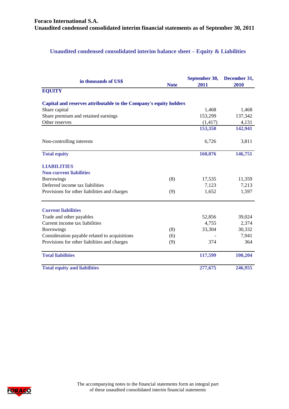# <span id="page-3-0"></span>**Unaudited condensed consolidated interim balance sheet – Equity & Liabilities**

| in thousands of US\$                                              | <b>Note</b> | September 30,<br>2011 | December 31,<br>2010 |
|-------------------------------------------------------------------|-------------|-----------------------|----------------------|
| <b>EQUITY</b>                                                     |             |                       |                      |
| Capital and reserves attributable to the Company's equity holders |             |                       |                      |
| Share capital                                                     |             | 1,468                 | 1,468                |
| Share premium and retained earnings                               |             | 153,299               | 137,342              |
| Other reserves                                                    |             | (1, 417)              | 4,131                |
|                                                                   |             | 153,350               | 142,941              |
| Non-controlling interests                                         |             | 6,726                 | 3,811                |
| <b>Total equity</b>                                               |             | 160,076               | 146,751              |
| <b>LIABILITIES</b>                                                |             |                       |                      |
| <b>Non-current liabilities</b>                                    |             |                       |                      |
| <b>Borrowings</b>                                                 | (8)         | 17,535                | 11,359               |
| Deferred income tax liabilities                                   |             | 7,123                 | 7,213                |
| Provisions for other liabilities and charges                      | (9)         | 1,652                 | 1,597                |
| <b>Current liabilities</b>                                        |             |                       |                      |
| Trade and other payables                                          |             | 52,856                | 39,024               |
| Current income tax liabilities                                    |             | 4,755                 | 2,374                |
| <b>Borrowings</b>                                                 | (8)         | 33,304                | 30,332               |
| Consideration payable related to acquisitions                     | (6)         |                       | 7,941                |
| Provisions for other liabilities and charges                      | (9)         | 374                   | 364                  |
| <b>Total liabilities</b>                                          |             | 117,599               | 100,204              |
| <b>Total equity and liabilities</b>                               |             | 277,675               | 246,955              |

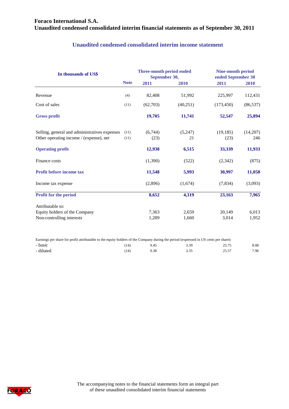# **Foraco International S.A. Unaudited condensed consolidated interim financial statements as of September 30, 2011**

# **Unaudited condensed consolidated interim income statement**

<span id="page-4-0"></span>

| In thousands of US\$                                                                                                                 |             | Three-month period ended<br>September 30, | <b>Nine-month period</b><br>ended September 30 |            |           |
|--------------------------------------------------------------------------------------------------------------------------------------|-------------|-------------------------------------------|------------------------------------------------|------------|-----------|
|                                                                                                                                      | <b>Note</b> | 2011                                      | 2010                                           | 2011       | 2010      |
| Revenue                                                                                                                              | (4)         | 82,408                                    | 51,992                                         | 225,997    | 112,431   |
| Cost of sales                                                                                                                        | (11)        | (62,703)                                  | (40,251)                                       | (173, 450) | (86, 537) |
| <b>Gross profit</b>                                                                                                                  |             | 19,705                                    | 11,741                                         | 52,547     | 25,894    |
| Selling, general and administratives expenses                                                                                        | (11)        | (6,744)                                   | (5,247)                                        | (19, 185)  | (14,207)  |
| Other operating income / (expense), net                                                                                              | (11)        | (23)                                      | 21                                             | (23)       | 246       |
| <b>Operating profit</b>                                                                                                              |             | 12,938                                    | 6,515                                          | 33,339     | 11,933    |
| Finance costs                                                                                                                        |             | (1,390)                                   | (522)                                          | (2,342)    | (875)     |
| Profit before income tax                                                                                                             |             | 11,548                                    | 5,993                                          | 30,997     | 11,058    |
| Income tax expense                                                                                                                   |             | (2,896)                                   | (1,674)                                        | (7, 834)   | (3,093)   |
| <b>Profit for the period</b>                                                                                                         |             | 8,652                                     | 4,319                                          | 23,163     | 7,965     |
| Attributable to:                                                                                                                     |             |                                           |                                                |            |           |
| Equity holders of the Company                                                                                                        |             | 7,363                                     | 2,659                                          | 20,149     | 6,013     |
| Non-controlling interests                                                                                                            |             | 1,289                                     | 1,660                                          | 3,014      | 1,952     |
| Earnings per share for profit attributable to the equity holders of the Company during the period (expressed in US cents per share): |             |                                           |                                                |            |           |

- basic 6.08 25.75 8.08 - diluted 25.57 25.57 2.96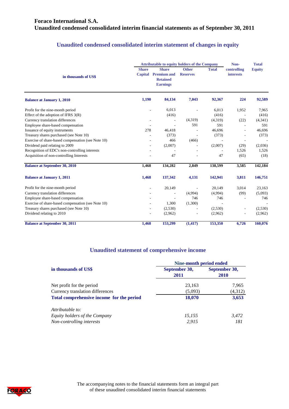# **Foraco International S.A. Unaudited condensed consolidated interim financial statements as of September 30, 2011**

# **Unaudited condensed consolidated interim statement of changes in equity**

|                                                    |                                | <b>Attributable to equity holders of the Company</b><br>Non-             |                                 |              |                                 |               |
|----------------------------------------------------|--------------------------------|--------------------------------------------------------------------------|---------------------------------|--------------|---------------------------------|---------------|
| in thousands of US\$                               | <b>Share</b><br><b>Capital</b> | <b>Share</b><br><b>Premium and</b><br><b>Retained</b><br><b>Earnings</b> | <b>Other</b><br><b>Reserves</b> | <b>Total</b> | controlling<br><b>interests</b> | <b>Equity</b> |
| <b>Balance at January 1, 2010</b>                  | 1,190                          | 84,134                                                                   | 7,043                           | 92,367       | 224                             | 92,589        |
| Profit for the nine-month period                   | $\overline{\phantom{a}}$       | 6,013                                                                    |                                 | 6,013        | 1,952                           | 7,965         |
| Effect of the adoption of IFRS $3(R)$              |                                | (416)                                                                    |                                 | (416)        |                                 | (416)         |
| Currency translation differences                   |                                |                                                                          | (4,319)                         | (4,319)      | (22)                            | (4,341)       |
| Employee share-based compensation                  |                                |                                                                          | 591                             | 591          |                                 | 591           |
| Issuance of equity instruments                     | 278                            | 46,418                                                                   | $\overline{\phantom{a}}$        | 46,696       |                                 | 46,696        |
| Treasury shares purchased (see Note 10)            |                                | (373)                                                                    |                                 | (373)        |                                 | (373)         |
| Exercise of share-based compensation (see Note 10) |                                | 466                                                                      | (466)                           |              | $\overline{\phantom{a}}$        |               |
| Dividend paid relating to 2009                     |                                | (2,007)                                                                  |                                 | (2,007)      | (29)                            | (2,036)       |
| Recognition of EDC's non-controlling interests     |                                |                                                                          |                                 |              | 1,526                           | 1,526         |
| Acquisition of non-controlling Interests           |                                | 47                                                                       |                                 | 47           | (65)                            | (18)          |
| <b>Balance at September 30, 2010</b>               | 1,468                          | 134,282                                                                  | 2,849                           | 138,599      | 3,585                           | 142,184       |
| <b>Balance at January 1, 2011</b>                  | 1,468                          | 137,342                                                                  | 4,131                           | 142,941      | 3,811                           | 146,751       |
| Profit for the nine-month period                   |                                | 20,149                                                                   |                                 | 20,149       | 3,014                           | 23,163        |
| Currency translation differences                   |                                |                                                                          | (4,994)                         | (4,994)      | (99)                            | (5,093)       |
| Employee share-based compensation                  |                                |                                                                          | 746                             | 746          |                                 | 746           |
| Exercise of share-based compensation (see Note 10) |                                | 1,300                                                                    | (1,300)                         |              |                                 |               |
| Treasury shares purchased (see Note 10)            | $\overline{\phantom{a}}$       | (2,530)                                                                  |                                 | (2,530)      | ٠                               | (2,530)       |
| Dividend relating to 2010                          |                                | (2,962)                                                                  |                                 | (2,962)      |                                 | (2,962)       |
| <b>Balance at September 30, 2011</b>               | 1,468                          | 153,299                                                                  | (1, 417)                        | 153,350      | 6,726                           | 160,076       |

# **Unaudited statement of comprehensive income**

|                                           | Nine-month period ended |                       |  |  |
|-------------------------------------------|-------------------------|-----------------------|--|--|
| in thousands of US\$                      | September 30,<br>2011   | September 30,<br>2010 |  |  |
| Net profit for the period                 | 23,163                  | 7,965                 |  |  |
| Currency translation differences          | (5,093)                 | (4,312)               |  |  |
| Total comprehensive income for the period | 18,070                  | 3,653                 |  |  |
| Attributable to:                          |                         |                       |  |  |
| Equity holders of the Company             | 15,155                  | 3,472                 |  |  |
| Non-controlling interests                 | 2.915                   | 181                   |  |  |

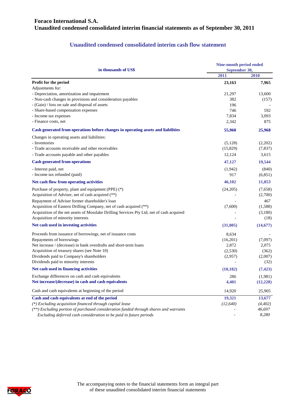# **Foraco International S.A. Unaudited condensed consolidated interim financial statements as of September 30, 2011**

# **Unaudited condensed consolidated interim cash flow statement**

| in thousands of US\$                                                                      | <b>Nine-month period ended</b><br>September 30, |           |  |
|-------------------------------------------------------------------------------------------|-------------------------------------------------|-----------|--|
|                                                                                           | 2011                                            | 2010      |  |
| Profit for the period                                                                     | 23,163                                          | 7,965     |  |
| Adjustments for:                                                                          |                                                 |           |  |
| - Depreciation, amortization and impairment                                               | 21,297                                          | 13,600    |  |
| - Non-cash changes in provisions and consideration payables                               | 382                                             | (157)     |  |
| - (Gain) / loss on sale and disposal of assets                                            | 196                                             |           |  |
| - Share-based compensation expenses                                                       | 746                                             | 592       |  |
| - Income tax expenses                                                                     | 7,834                                           | 3,093     |  |
| - Finance costs, net                                                                      | 2,342                                           | 875       |  |
| Cash generated from operations before changes in operating assets and liabilities         | 55,960                                          | 25,968    |  |
| Changes in operating assets and liabilities:                                              |                                                 |           |  |
| - Inventories                                                                             | (5,128)                                         | (2,202)   |  |
| - Trade accounts receivable and other receivables                                         | (15,829)                                        | (7,837)   |  |
| - Trade accounts payable and other payables                                               | 12,124                                          | 3,615     |  |
| <b>Cash generated from operations</b>                                                     | 47,127                                          | 19,544    |  |
| - Interest paid, net                                                                      | (1,942)                                         | (840)     |  |
| - Income tax refunded (paid)                                                              | 917                                             | (6,851)   |  |
| Net cash flow from operating activities                                                   | 46,102                                          | 11,853    |  |
| Purchase of property, plant and equipment (PPE) (*)                                       | (24,205)                                        | (7,658)   |  |
| Acquisition of Adviser, net of cash acquired (**)                                         |                                                 | (2,700)   |  |
| Repayment of Adviser former shareholder's loan                                            |                                                 | 467       |  |
| Acquisition of Eastern Drilling Company, net of cash acquired (**)                        | (7,600)                                         | (1,588)   |  |
| Acquisition of the net assets of Mosslake Drilling Services Pty Ltd, net of cash acquired |                                                 | (3,180)   |  |
| Acquisition of minority interests                                                         |                                                 | (18)      |  |
| Net cash used in investing activities                                                     | (31,805)                                        | (14, 677) |  |
| Proceeds from issuance of borrowings, net of issuance costs                               | 8,634                                           |           |  |
| Repayments of borrowings                                                                  | (16,201)                                        | (7,097)   |  |
| Net increase / (decrease) in bank overdrafts and short-term loans                         | 2,872                                           | 2,075     |  |
| Acquisition of treasury shares (see Note 10)                                              | (2,530)                                         | (362)     |  |
| Dividends paid to Company's shareholders                                                  | (2,957)                                         | (2,007)   |  |
| Dividends paid to minority interests                                                      |                                                 | (32)      |  |
| Net cash used in financing activities                                                     | (10, 182)                                       | (7, 423)  |  |
| Exchange differences on cash and cash equivalents                                         | 286                                             | (1,981)   |  |
| Net increase/(decrease) in cash and cash equivalents                                      | 4,401                                           | (12, 228) |  |
| Cash and cash equivalents at beginning of the period                                      | 14,920                                          | 25,905    |  |
| Cash and cash equivalents at end of the period                                            | 19,321                                          | 13,677    |  |
| (*) Excluding acquisition financed through capital lease                                  | (12, 640)                                       | (4, 402)  |  |
| (**) Excluding portion of purchased consideration funded through shares and warrants      |                                                 | 46,697    |  |
| Excluding deferred cash consideration to be paid in future periods                        |                                                 | 8,280     |  |

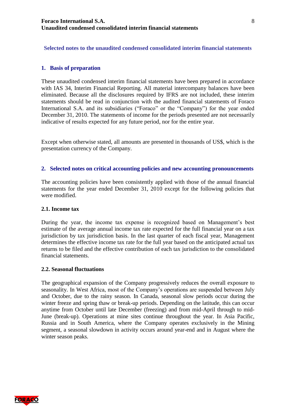#### <span id="page-7-0"></span>**Selected notes to the unaudited condensed consolidated interim financial statements**

#### <span id="page-7-1"></span>**1. Basis of preparation**

These unaudited condensed interim financial statements have been prepared in accordance with IAS 34, Interim Financial Reporting. All material intercompany balances have been eliminated. Because all the disclosures required by IFRS are not included, these interim statements should be read in conjunction with the audited financial statements of Foraco International S.A. and its subsidiaries ("Foraco" or the "Company") for the year ended December 31, 2010. The statements of income for the periods presented are not necessarily indicative of results expected for any future period, nor for the entire year.

Except when otherwise stated, all amounts are presented in thousands of US\$, which is the presentation currency of the Company.

#### <span id="page-7-2"></span>**2. Selected notes on critical accounting policies and new accounting pronouncements**

The accounting policies have been consistently applied with those of the annual financial statements for the year ended December 31, 2010 except for the following policies that were modified.

#### **2.1. Income tax**

During the year, the income tax expense is recognized based on Management's best estimate of the average annual income tax rate expected for the full financial year on a tax jurisdiction by tax jurisdiction basis. In the last quarter of each fiscal year, Management determines the effective income tax rate for the full year based on the anticipated actual tax returns to be filed and the effective contribution of each tax jurisdiction to the consolidated financial statements.

#### **2.2. Seasonal fluctuations**

The geographical expansion of the Company progressively reduces the overall exposure to seasonality. In West Africa, most of the Company's operations are suspended between July and October, due to the rainy season. In Canada, seasonal slow periods occur during the winter freeze and spring thaw or break-up periods. Depending on the latitude, this can occur anytime from October until late December (freezing) and from mid-April through to mid-June (break-up). Operations at mine sites continue throughout the year. In Asia Pacific, Russia and in South America, where the Company operates exclusively in the Mining segment, a seasonal slowdown in activity occurs around year-end and in August where the winter season peaks.

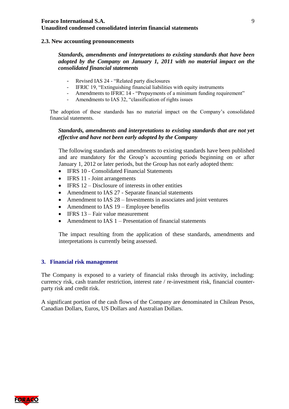#### **2.3. New accounting pronouncements**

#### *Standards, amendments and interpretations to existing standards that have been adopted by the Company on January 1, 2011 with no material impact on the consolidated financial statements*

- Revised IAS 24 "Related party disclosures
- IFRIC 19, "Extinguishing financial liabilities with equity instruments
- Amendments to IFRIC 14 "Prepayments of a minimum funding requirement"
- Amendments to IAS 32, "classification of rights issues

The adoption of these standards has no material impact on the Company's consolidated financial statements.

#### *Standards, amendments and interpretations to existing standards that are not yet effective and have not been early adopted by the Company*

The following standards and amendments to existing standards have been published and are mandatory for the Group's accounting periods beginning on or after January 1, 2012 or later periods, but the Group has not early adopted them:

- IFRS 10 Consolidated Financial Statements
- IFRS 11 Joint arrangements
- $\bullet$  IFRS 12 Disclosure of interests in other entities
- Amendment to IAS 27 Separate financial statements
- Amendment to IAS 28 Investments in associates and joint ventures
- Amendment to IAS 19 Employee benefits
- $\bullet$  IFRS 13 Fair value measurement
- Amendment to IAS 1 Presentation of financial statements

The impact resulting from the application of these standards, amendments and interpretations is currently being assessed.

#### <span id="page-8-0"></span>**3. Financial risk management**

The Company is exposed to a variety of financial risks through its activity, including: currency risk, cash transfer restriction, interest rate / re-investment risk, financial counterparty risk and credit risk.

A significant portion of the cash flows of the Company are denominated in Chilean Pesos, Canadian Dollars, Euros, US Dollars and Australian Dollars.

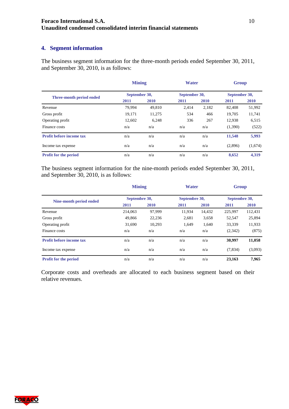#### <span id="page-9-0"></span>**4. Segment information**

The business segment information for the three-month periods ended September 30, 2011, and September 30, 2010, is as follows:

|                                 | <b>Mining</b> |        | <b>Water</b>  |       | Group         |             |
|---------------------------------|---------------|--------|---------------|-------|---------------|-------------|
| Three-month period ended        | September 30, |        | September 30, |       | September 30, |             |
|                                 | 2011          | 2010   | 2011          | 2010  | 2011          | <b>2010</b> |
| Revenue                         | 79.994        | 49,810 | 2.414         | 2,182 | 82.408        | 51,992      |
| Gross profit                    | 19,171        | 11,275 | 534           | 466   | 19,705        | 11,741      |
| Operating profit                | 12,602        | 6,248  | 336           | 267   | 12,938        | 6,515       |
| Finance costs                   | n/a           | n/a    | n/a           | n/a   | (1,390)       | (522)       |
| <b>Profit before income tax</b> | n/a           | n/a    | n/a           | n/a   | 11,548        | 5,993       |
| Income tax expense              | n/a           | n/a    | n/a           | n/a   | (2,896)       | (1,674)     |
| Profit for the period           | n/a           | n/a    | n/a           | n/a   | 8.652         | 4.319       |

The business segment information for the nine-month periods ended September 30, 2011, and September 30, 2010, is as follows:

|                                 | <b>Mining</b> |        | <b>Water</b>  |        | <b>Group</b>  |         |
|---------------------------------|---------------|--------|---------------|--------|---------------|---------|
| Nine-month period ended         | Septembre 30, |        | Septembre 30, |        | Septembre 30, |         |
|                                 | 2011          | 2010   | 2011          | 2010   | 2011          | 2010    |
| Revenue                         | 214,063       | 97.999 | 11.934        | 14,432 | 225,997       | 112,431 |
| Gross profit                    | 49,866        | 22,236 | 2,681         | 3,658  | 52,547        | 25,894  |
| Operating profit                | 31,690        | 10.293 | 1.649         | 1.640  | 33,339        | 11,933  |
| Finance costs                   | n/a           | n/a    | n/a           | n/a    | (2,342)       | (875)   |
| <b>Profit before income tax</b> | n/a           | n/a    | n/a           | n/a    | 30,997        | 11,058  |
| Income tax expense              | n/a           | n/a    | n/a           | n/a    | (7,834)       | (3,093) |
| <b>Profit for the period</b>    | n/a           | n/a    | n/a           | n/a    | 23.163        | 7.965   |

Corporate costs and overheads are allocated to each business segment based on their relative revenues.

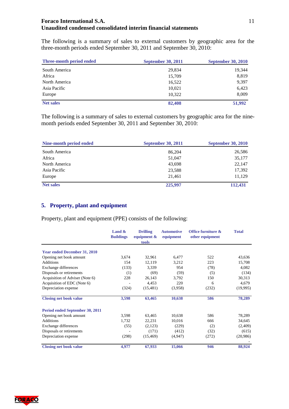The following is a summary of sales to external customers by geographic area for the three-month periods ended September 30, 2011 and September 30, 2010:

| Three-month period ended | <b>September 30, 2011</b> | <b>September 30, 2010</b> |
|--------------------------|---------------------------|---------------------------|
| South America            | 29,834                    | 19,344                    |
| Africa                   | 15,709                    | 8,819                     |
| North America            | 16,522                    | 9,397                     |
| Asia Pacific             | 10,021                    | 6,423                     |
| Europe                   | 10,322                    | 8,009                     |
| <b>Net sales</b>         | 82,408                    | 51,992                    |

The following is a summary of sales to external customers by geographic area for the ninemonth periods ended September 30, 2011 and September 30, 2010:

| Nine-month period ended | <b>September 30, 2011</b> | <b>September 30, 2010</b> |
|-------------------------|---------------------------|---------------------------|
| South America           | 86,204                    | 26,586                    |
| Africa                  | 51,047                    | 35,177                    |
| North America           | 43,698                    | 22,147                    |
| Asia Pacific            | 23,588                    | 17,392                    |
| Europe                  | 21,461                    | 11,129                    |
| <b>Net sales</b>        | 225,997                   | 112,431                   |

# <span id="page-10-0"></span>**5. Property, plant and equipment**

Property, plant and equipment (PPE) consists of the following:

|                                     | Land $\&$<br><b>Buildings</b> | <b>Drilling</b><br>equipment $\&$<br>tools | <b>Automotive</b><br>equipment | Office furniture &<br>other equipment | <b>Total</b> |
|-------------------------------------|-------------------------------|--------------------------------------------|--------------------------------|---------------------------------------|--------------|
| <b>Year ended December 31, 2010</b> |                               |                                            |                                |                                       |              |
| Opening net book amount             | 3,674                         | 32,961                                     | 6,477                          | 522                                   | 43,636       |
| Additions                           | 154                           | 12,119                                     | 3,212                          | 223                                   | 15,708       |
| Exchange differences                | (133)                         | 3,339                                      | 954                            | (78)                                  | 4,082        |
| Disposals or retirements            | (1)                           | (69)                                       | (59)                           | (5)                                   | (134)        |
| Acquisition of Adviser (Note 6)     | 228                           | 26,143                                     | 3,792                          | 150                                   | 30,313       |
| Acquisition of EDC (Note 6)         |                               | 4,453                                      | 220                            | 6                                     | 4,679        |
| Depreciation expense                | (324)                         | (15, 481)                                  | (3,958)                        | (232)                                 | (19,995)     |
| <b>Closing net book value</b>       | 3,598                         | 63,465                                     | 10,638                         | 586                                   | 78,289       |
| Period ended September 30, 2011     |                               |                                            |                                |                                       |              |
| Opening net book amount             | 3,598                         | 63,465                                     | 10,638                         | 586                                   | 78,289       |
| <b>Additions</b>                    | 1,732                         | 22,231                                     | 10,016                         | 666                                   | 34,645       |
| Exchange differences                | (55)                          | (2,123)                                    | (229)                          | (2)                                   | (2,409)      |
| Disposals or retirements            |                               | (171)                                      | (412)                          | (32)                                  | (615)        |
| Depreciation expense                | (298)                         | (15, 469)                                  | (4,947)                        | (272)                                 | (20,986)     |
| <b>Closing net book value</b>       | 4,977                         | 67,933                                     | 15,066                         | 946                                   | 88,924       |

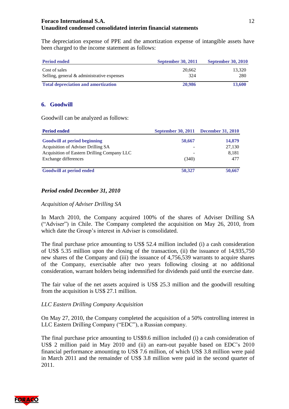The depreciation expense of PPE and the amortization expense of intangible assets have been charged to the income statement as follows:

| <b>Period ended</b>                        | <b>September 30, 2011</b> | <b>September 30, 2010</b> |
|--------------------------------------------|---------------------------|---------------------------|
| Cost of sales                              | 20.662                    | 13.320                    |
| Selling, general & administrative expenses | 324                       | 280                       |
| <b>Total depreciation and amortization</b> | 20,986                    | 13,600                    |

# <span id="page-11-0"></span>**6. Goodwill**

Goodwill can be analyzed as follows:

| <b>Period ended</b>                         | September 30, 2011 December 31, 2010 |        |
|---------------------------------------------|--------------------------------------|--------|
| <b>Goodwill at period beginning</b>         | 50,667                               | 14,879 |
| Acquisition of Adviser Drilling SA          |                                      | 27,130 |
| Acquisition of Eastern Drilling Company LLC |                                      | 8,181  |
| Exchange differences                        | (340)                                | 477    |
| <b>Goodwill at period ended</b>             | 50,327                               | 50,667 |

# *Period ended December 31, 2010*

#### *Acquisition of Adviser Drilling SA*

In March 2010, the Company acquired 100% of the shares of Adviser Drilling SA ("Adviser") in Chile. The Company completed the acquisition on May 26, 2010, from which date the Group's interest in Adviser is consolidated.

The final purchase price amounting to US\$ 52.4 million included (i) a cash consideration of US\$ 5.35 million upon the closing of the transaction, (ii) the issuance of 14,935,750 new shares of the Company and (iii) the issuance of 4,756,539 warrants to acquire shares of the Company, exercisable after two years following closing at no additional consideration, warrant holders being indemnified for dividends paid until the exercise date.

The fair value of the net assets acquired is US\$ 25.3 million and the goodwill resulting from the acquisition is US\$ 27.1 million.

# *LLC Eastern Drilling Company Acquisition*

On May 27, 2010, the Company completed the acquisition of a 50% controlling interest in LLC Eastern Drilling Company ("EDC"), a Russian company.

The final purchase price amounting to US\$9.6 million included (i) a cash consideration of US\$ 2 million paid in May 2010 and (ii) an earn-out payable based on EDC's 2010 financial performance amounting to US\$ 7.6 million, of which US\$ 3.8 million were paid in March 2011 and the remainder of US\$ 3.8 million were paid in the second quarter of 2011.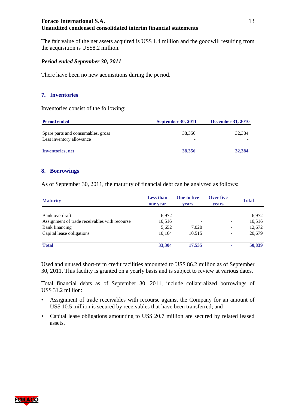The fair value of the net assets acquired is US\$ 1.4 million and the goodwill resulting from the acquisition is US\$8.2 million.

# *Period ended September 30, 2011*

There have been no new acquisitions during the period.

# <span id="page-12-0"></span>**7. Inventories**

Inventories consist of the following:

| <b>Period ended</b>                                            | <b>September 30, 2011</b>          | <b>December 31, 2010</b> |
|----------------------------------------------------------------|------------------------------------|--------------------------|
| Spare parts and consumables, gross<br>Less inventory allowance | 38.356<br>$\overline{\phantom{0}}$ | 32.384                   |
| Inventories, net                                               | 38,356                             | 32,384                   |

#### <span id="page-12-1"></span>**8. Borrowings**

As of September 30, 2011, the maturity of financial debt can be analyzed as follows:

| <b>Maturity</b>                               | <b>Less than</b><br>one year | <b>One to five</b><br><b>vears</b> | Over five<br>vears           | <b>Total</b> |
|-----------------------------------------------|------------------------------|------------------------------------|------------------------------|--------------|
| Bank overdraft                                | 6,972                        | $\qquad \qquad -$                  | -                            | 6,972        |
| Assignment of trade receivables with recourse | 10,516                       | ٠                                  | -                            | 10,516       |
| Bank financing                                | 5,652                        | 7,020                              | $\qquad \qquad \blacksquare$ | 12,672       |
| Capital lease obligations                     | 10.164                       | 10,515                             | $\overline{\phantom{a}}$     | 20,679       |
| <b>Total</b>                                  | 33,304                       | 17,535                             | ۰                            | 50,839       |

Used and unused short-term credit facilities amounted to US\$ 86.2 million as of September 30, 2011. This facility is granted on a yearly basis and is subject to review at various dates.

Total financial debts as of September 30, 2011, include collateralized borrowings of US\$ 31.2 million:

- Assignment of trade receivables with recourse against the Company for an amount of US\$ 10.5 million is secured by receivables that have been transferred; and
- Capital lease obligations amounting to US\$ 20.7 million are secured by related leased assets.

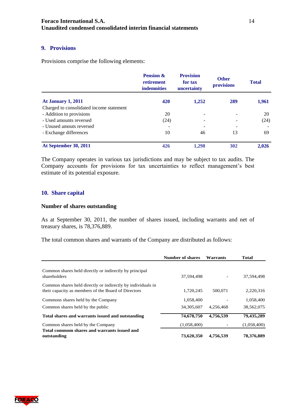# <span id="page-13-0"></span>**9. Provisions**

Provisions comprise the following elements:

|                                          | <b>Pension &amp;</b><br>retirement<br><b>indemnities</b> | <b>Provision</b><br>for tax<br>uncertainty | <b>Other</b><br>provisions | <b>Total</b> |
|------------------------------------------|----------------------------------------------------------|--------------------------------------------|----------------------------|--------------|
| <b>At January 1, 2011</b>                | 420                                                      | 1,252                                      | 289                        | 1,961        |
| Charged to consolidated income statement |                                                          |                                            |                            |              |
| - Addition to provisions                 | 20                                                       |                                            |                            | 20           |
| - Used amounts reversed                  | (24)                                                     |                                            |                            | (24)         |
| - Unused amouts reversed                 |                                                          |                                            |                            |              |
| - Exchange differences                   | 10                                                       | 46                                         | 13                         | 69           |
| At September 30, 2011                    | 426                                                      | 1,298                                      | 302                        | 2,026        |

The Company operates in various tax jurisdictions and may be subject to tax audits. The Company accounts for provisions for tax uncertainties to reflect management's best estimate of its potential exposure.

#### <span id="page-13-1"></span>**10. Share capital**

#### **Number of shares outstanding**

As at September 30, 2011, the number of shares issued, including warrants and net of treasury shares, is 78,376,889.

The total common shares and warrants of the Company are distributed as follows:

|                                                                                                                    | Number of shares | Warrants  | <b>Total</b> |
|--------------------------------------------------------------------------------------------------------------------|------------------|-----------|--------------|
| Common shares held directly or indirectly by principal<br>shareholders                                             | 37,594,498       |           | 37,594,498   |
| Common shares held directly or indirectly by individuals in<br>their capacity as members of the Board of Directors | 1,720,245        | 500,071   | 2,220,316    |
| Commons shares held by the Company                                                                                 | 1,058,400        |           | 1,058,400    |
| Common shares held by the public                                                                                   | 34, 305, 607     | 4.256.468 | 38.562.075   |
| Total shares and warrants issued and outstanding                                                                   | 74,678,750       | 4,756,539 | 79,435,289   |
| Common shares held by the Company                                                                                  | (1,058,400)      |           | (1,058,400)  |
| Total commom shares and warrants issued and<br>outstanding                                                         | 73,620,350       | 4,756,539 | 78,376,889   |



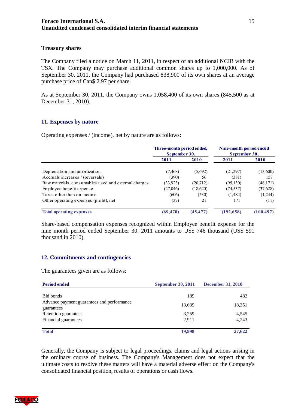#### **Treasury shares**

The Company filed a notice on March 11, 2011, in respect of an additional NCIB with the TSX. The Company may purchase additional common shares up to 1,000,000. As of September 30, 2011, the Company had purchased 838,900 of its own shares at an average purchase price of Can\$ 2.97 per share.

As at September 30, 2011, the Company owns 1,058,400 of its own shares (845,500 as at December 31, 2010).

#### <span id="page-14-0"></span>**11. Expenses by nature**

Operating expenses / (income), net by nature are as follows:

|                                                      | Three-month period ended,<br>September 30, |           | Nine-month period ended<br>September 30, |            |
|------------------------------------------------------|--------------------------------------------|-----------|------------------------------------------|------------|
|                                                      | 2011                                       | 2010      | 2011                                     | 2010       |
| Depreciation and amortization                        | (7, 468)                                   | (5,692)   | (21,297)                                 | (13,600)   |
| Accruals increases / (reversals)                     | (390)                                      | 56        | (381)                                    | 157        |
| Raw materials, consumables used and external charges | (33,923)                                   | (20,712)  | (95, 130)                                | (48, 171)  |
| Employee benefit expense                             | (27,046)                                   | (18,620)  | (74, 537)                                | (37, 628)  |
| Taxes other than on income                           | (606)                                      | (530)     | (1,484)                                  | (1,244)    |
| Other operating expenses (profit), net               | (37)                                       | 21        | 171                                      | (11)       |
| <b>Total operating expenses</b>                      | (69, 470)                                  | (45, 477) | (192, 658)                               | (100, 497) |

Share-based compensation expenses recognized within Employee benefit expense for the nine month period ended September 30, 2011 amounts to US\$ 746 thousand (US\$ 591 thousand in 2010).

#### <span id="page-14-1"></span>**12. Commitments and contingencies**

The guarantees given are as follows:

| <b>Period ended</b>                                      | <b>September 30, 2011</b> | <b>December 31, 2010</b> |
|----------------------------------------------------------|---------------------------|--------------------------|
| Bid bonds                                                | 189                       | 482                      |
| Advance payment guarantees and performance<br>guarantees | 13,639                    | 18,351                   |
| Retention guarantees                                     | 3,259                     | 4,545                    |
| Financial guarantees                                     | 2,911                     | 4,243                    |
| <b>Total</b>                                             | 19,998                    | 27,622                   |

Generally, the Company is subject to legal proceedings, claims and legal actions arising in the ordinary course of business. The Company's Management does not expect that the ultimate costs to resolve these matters will have a material adverse effect on the Company's consolidated financial position, results of operations or cash flows.